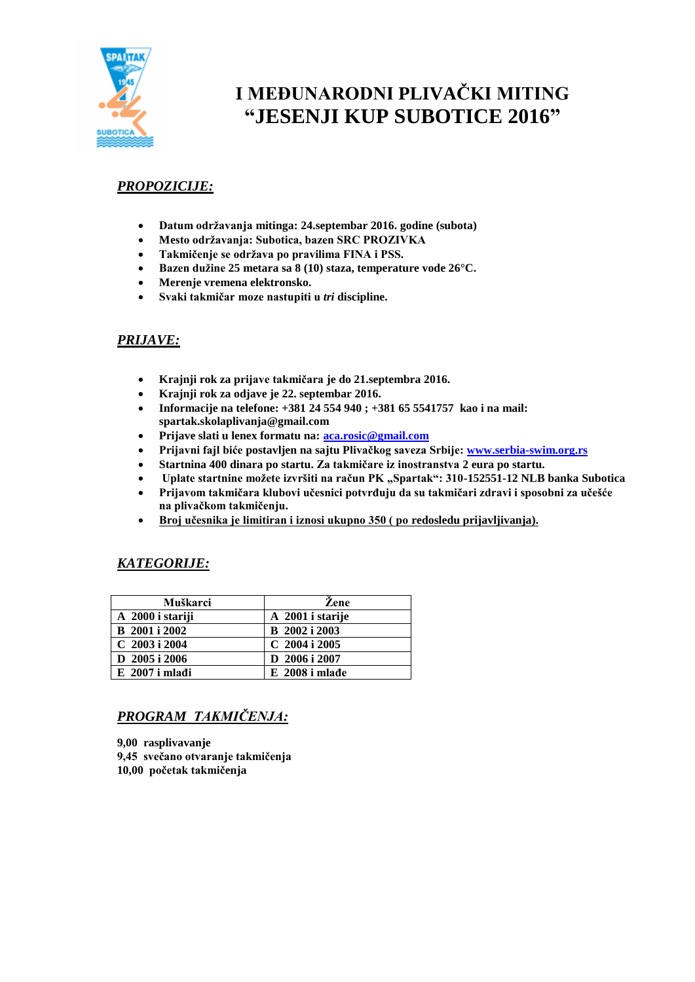

# **I MEĐUNARODNI PLIVAČKI MITING "JESENJI KUP SUBOTICE 2016"**

## *PROPOZICIJE:*

- **Datum održavanja mitinga: 24.septembar 2016. godine (subota)**
- **Mesto održavanja: Subotica, bazen SRC PROZIVKA**
- **Takmičenje se održava po pravilima FINA i PSS.**
- **Bazen dužine 25 metara sa 8 (10) staza, temperature vode 26°C.**
- **Merenje vremena elektronsko.**
- **Svaki takmičar moze nastupiti u** *tri* **discipline.**

### *PRIJAVE:*

- **Krajnji rok za prijave takmičara je do 21.septembra 2016.**
- **Krajnji rok za odjave je 22. septembar 2016.**
- **Informacije na telefone: +381 24 554 940 ; +381 65 5541757 kao i na mail: spartak.skolaplivanja@gmail.com**
- **Prijave slati u lenex formatu na: [aca.rosic@gmail.com](mailto:aca.rosic@gmail.com)**
- **Prijavni fajl biće postavljen na sajtu Plivačkog saveza Srbije: [www.serbia-swim.org.rs](http://www.serbia-swim.org.rs/)**
- **Startnina 400 dinara po startu. Za takmičare iz inostranstva 2 eura po startu.**
- **•** Uplate startnine možete izvršiti na račun PK "Spartak": 310-152551-12 NLB banka Subotica
- **Prijavom takmičara klubovi učesnici potvrđuju da su takmičari zdravi i sposobni za učešće na plivačkom takmičenju.**
- **Broj učesnika je limitiran i iznosi ukupno 350 ( po redosledu prijavljivanja).**

### *KATEGORIJE:*

| Muškarci             | Zene                 |
|----------------------|----------------------|
| A 2000 i stariji     | A 2001 i starije     |
| <b>B</b> 2001 i 2002 | <b>B</b> 2002 i 2003 |
| $C$ 2003 i 2004      | $C$ 2004 i 2005      |
| D $2005$ i $2006$    | D 2006 i 2007        |
| $E$ 2007 i mlađi     | $E$ 2008 i mlađe     |

# *PROGRAM TAKMIČENJA:*

**9,00 rasplivavanje 9,45 svečano otvaranje takmičenja 10,00 početak takmičenja**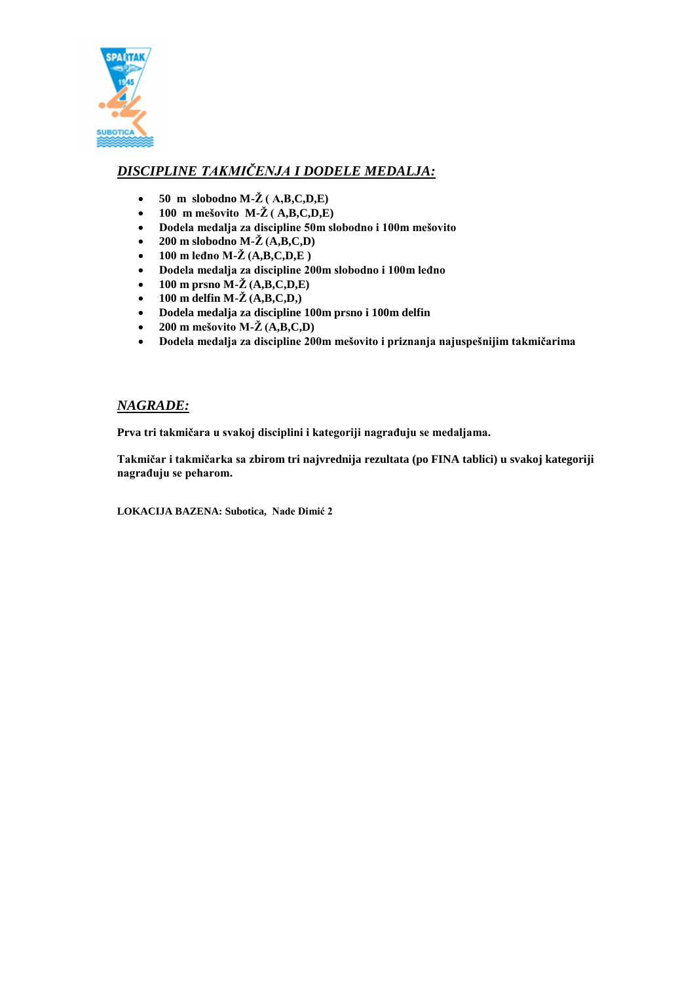

# *DISCIPLINE TAKMIČENJA I DODELE MEDALJA:*

- $\bullet$  50 m slobodno M- $\check{Z}$  (A,B,C,D,E)
- **•** 100 m mešovito  $M-\check{Z}$  (A,B,C,D,E)
- **Dodela medalja za discipline 50m slobodno i 100m mešovito**
- **200 m slobodno M-Ž (A,B,C,D)**
- **100 m leđno M-Ž (A,B,C,D,E )**
- **Dodela medalja za discipline 200m slobodno i 100m leđno**
- **100 m prsno M-Ž (A,B,C,D,E)**
- **•** 100 m delfin M- $\check{Z}$  (A,B,C,D,)
- **Dodela medalja za discipline 100m prsno i 100m delfin**
- **200 m** mešovito M- $\check{Z}$  (A,B,C,D)
- **Dodela medalja za discipline 200m mešovito i priznanja najuspešnijim takmičarima**

### *NAGRADE:*

**Prva tri takmičara u svakoj disciplini i kategoriji nagrađuju se medaljama.**

**Takmičar i takmičarka sa zbirom tri najvrednija rezultata (po FINA tablici) u svakoj kategoriji nagrađuju se peharom.**

**LOKACIJA BAZENA: Subotica, Nade Dimić 2**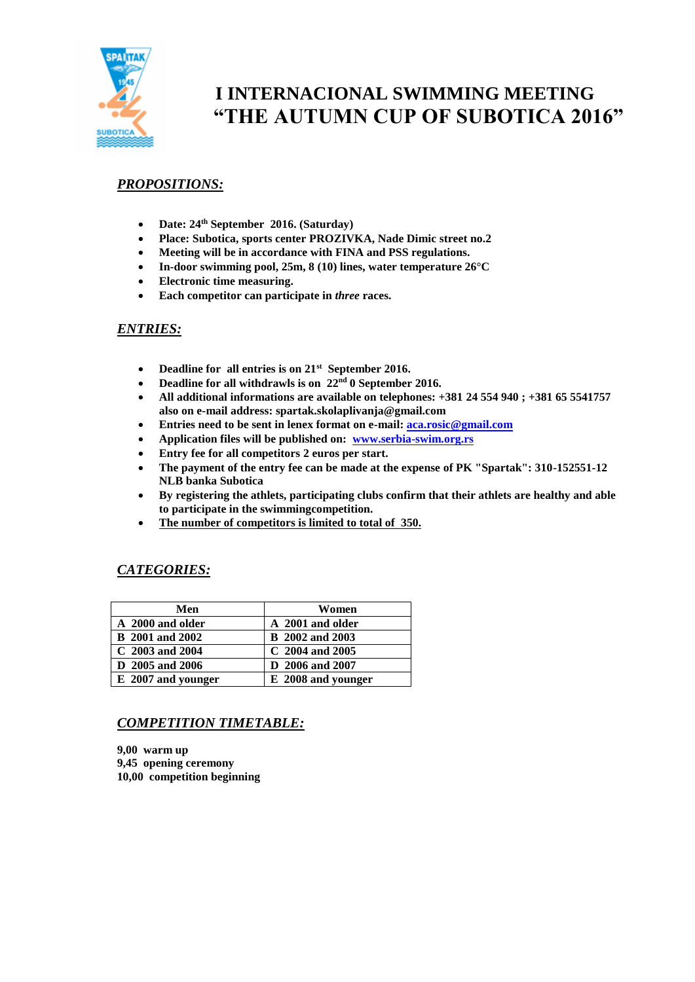

# **I INTERNACIONAL SWIMMING MEETING "THE AUTUMN CUP OF SUBOTICA 2016"**

## *PROPOSITIONS:*

- **Date: 24th September 2016. (Saturday)**
- **Place: Subotica, sports center PROZIVKA, Nade Dimic street no.2**
- **Meeting will be in accordance with FINA and PSS regulations.**
- **In-door swimming pool, 25m, 8 (10) lines, water temperature 26°C**
- **Electronic time measuring.**
- **Each competitor can participate in** *three* **races.**

### *ENTRIES:*

- **Deadline for all entries is on 21st September 2016.**
- **Deadline for all withdrawls is on 22nd 0 September 2016.**
- **All additional informations are available on telephones: +381 24 554 940 ; +381 65 5541757 also on e-mail address: spartak.skolaplivanja@gmail.com**
- **Entries need to be sent in lenex format on e-mail: [aca.rosic@gmail.com](mailto:aca.rosic@gmail.com)**
- **Application files will be published on: [www.serbia-swim.org.rs](http://www.serbia-swim.org.rs/)**
- **Entry fee for all competitors 2 euros per start.**
- **The payment of the entry fee can be made at the expense of PK "Spartak": 310-152551-12 NLB banka Subotica**
- **By registering the athlets, participating clubs confirm that their athlets are healthy and able to participate in the swimmingcompetition.**
- **The number of competitors is limited to total of 350.**

### *CATEGORIES:*

| Men                    | Women                  |
|------------------------|------------------------|
| A 2000 and older       | A 2001 and older       |
| <b>B</b> 2001 and 2002 | <b>B</b> 2002 and 2003 |
| $C$ 2003 and 2004      | $C$ 2004 and 2005      |
| D 2005 and 2006        | D 2006 and 2007        |
| E 2007 and younger     | E 2008 and younger     |

# *COMPETITION TIMETABLE:*

**9,00 warm up 9,45 opening ceremony 10,00 competition beginning**